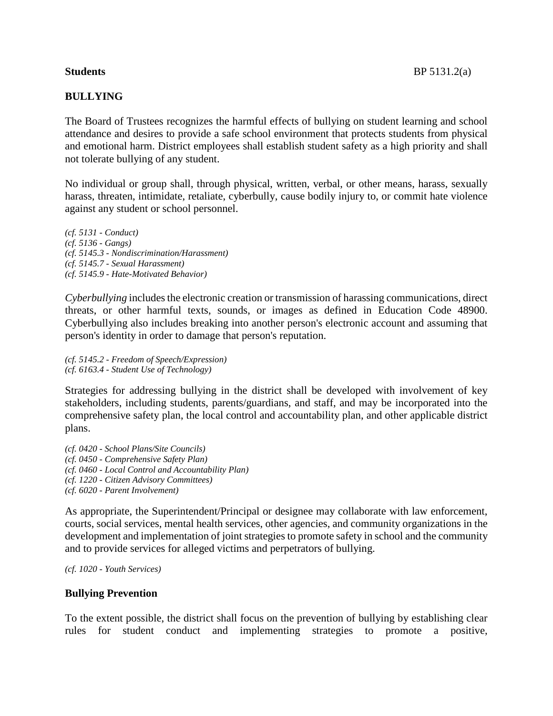# **BULLYING**

The Board of Trustees recognizes the harmful effects of bullying on student learning and school attendance and desires to provide a safe school environment that protects students from physical and emotional harm. District employees shall establish student safety as a high priority and shall

No individual or group shall, through physical, written, verbal, or other means, harass, sexually harass, threaten, intimidate, retaliate, cyberbully, cause bodily injury to, or commit hate violence against any student or school personnel.

*(cf. 5131 - Conduct) (cf. 5136 - Gangs) (cf. 5145.3 - Nondiscrimination/Harassment) (cf. 5145.7 - Sexual Harassment) (cf. 5145.9 - Hate-Motivated Behavior)*

not tolerate bullying of any student.

*Cyberbullying* includes the electronic creation or transmission of harassing communications, direct threats, or other harmful texts, sounds, or images as defined in Education Code 48900. Cyberbullying also includes breaking into another person's electronic account and assuming that person's identity in order to damage that person's reputation.

*(cf. 5145.2 - Freedom of Speech/Expression) (cf. 6163.4 - Student Use of Technology)*

Strategies for addressing bullying in the district shall be developed with involvement of key stakeholders, including students, parents/guardians, and staff, and may be incorporated into the comprehensive safety plan, the local control and accountability plan, and other applicable district plans.

*(cf. 0420 - School Plans/Site Councils) (cf. 0450 - Comprehensive Safety Plan) (cf. 0460 - Local Control and Accountability Plan) (cf. 1220 - Citizen Advisory Committees) (cf. 6020 - Parent Involvement)*

As appropriate, the Superintendent/Principal or designee may collaborate with law enforcement, courts, social services, mental health services, other agencies, and community organizations in the development and implementation of joint strategies to promote safety in school and the community and to provide services for alleged victims and perpetrators of bullying.

```
(cf. 1020 - Youth Services)
```
# **Bullying Prevention**

To the extent possible, the district shall focus on the prevention of bullying by establishing clear rules for student conduct and implementing strategies to promote a positive,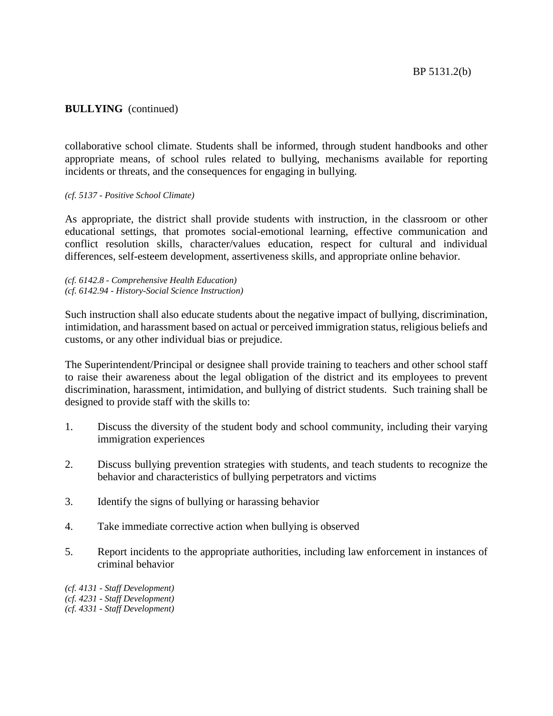# **BULLYING** (continued)

collaborative school climate. Students shall be informed, through student handbooks and other appropriate means, of school rules related to bullying, mechanisms available for reporting incidents or threats, and the consequences for engaging in bullying.

#### *(cf. 5137 - Positive School Climate)*

As appropriate, the district shall provide students with instruction, in the classroom or other educational settings, that promotes social-emotional learning, effective communication and conflict resolution skills, character/values education, respect for cultural and individual differences, self-esteem development, assertiveness skills, and appropriate online behavior.

*(cf. 6142.8 - Comprehensive Health Education) (cf. 6142.94 - History-Social Science Instruction)*

Such instruction shall also educate students about the negative impact of bullying, discrimination, intimidation, and harassment based on actual or perceived immigration status, religious beliefs and customs, or any other individual bias or prejudice.

The Superintendent/Principal or designee shall provide training to teachers and other school staff to raise their awareness about the legal obligation of the district and its employees to prevent discrimination, harassment, intimidation, and bullying of district students. Such training shall be designed to provide staff with the skills to:

- 1. Discuss the diversity of the student body and school community, including their varying immigration experiences
- 2. Discuss bullying prevention strategies with students, and teach students to recognize the behavior and characteristics of bullying perpetrators and victims
- 3. Identify the signs of bullying or harassing behavior
- 4. Take immediate corrective action when bullying is observed
- 5. Report incidents to the appropriate authorities, including law enforcement in instances of criminal behavior

*(cf. 4131 - Staff Development) (cf. 4231 - Staff Development) (cf. 4331 - Staff Development)*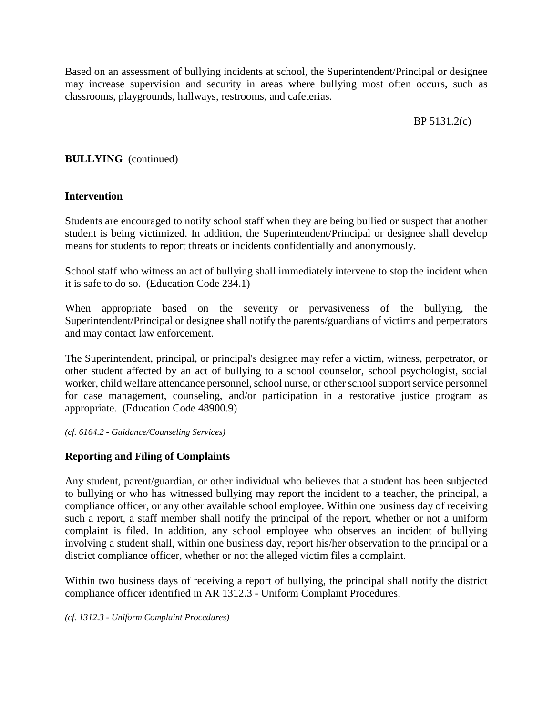Based on an assessment of bullying incidents at school, the Superintendent/Principal or designee may increase supervision and security in areas where bullying most often occurs, such as classrooms, playgrounds, hallways, restrooms, and cafeterias.

BP 5131.2(c)

# **BULLYING** (continued)

# **Intervention**

Students are encouraged to notify school staff when they are being bullied or suspect that another student is being victimized. In addition, the Superintendent/Principal or designee shall develop means for students to report threats or incidents confidentially and anonymously.

School staff who witness an act of bullying shall immediately intervene to stop the incident when it is safe to do so. (Education Code 234.1)

When appropriate based on the severity or pervasiveness of the bullying, the Superintendent/Principal or designee shall notify the parents/guardians of victims and perpetrators and may contact law enforcement.

The Superintendent, principal, or principal's designee may refer a victim, witness, perpetrator, or other student affected by an act of bullying to a school counselor, school psychologist, social worker, child welfare attendance personnel, school nurse, or other school support service personnel for case management, counseling, and/or participation in a restorative justice program as appropriate. (Education Code 48900.9)

*(cf. 6164.2 - Guidance/Counseling Services)*

# **Reporting and Filing of Complaints**

Any student, parent/guardian, or other individual who believes that a student has been subjected to bullying or who has witnessed bullying may report the incident to a teacher, the principal, a compliance officer, or any other available school employee. Within one business day of receiving such a report, a staff member shall notify the principal of the report, whether or not a uniform complaint is filed. In addition, any school employee who observes an incident of bullying involving a student shall, within one business day, report his/her observation to the principal or a district compliance officer, whether or not the alleged victim files a complaint.

Within two business days of receiving a report of bullying, the principal shall notify the district compliance officer identified in AR 1312.3 - Uniform Complaint Procedures.

*(cf. 1312.3 - Uniform Complaint Procedures)*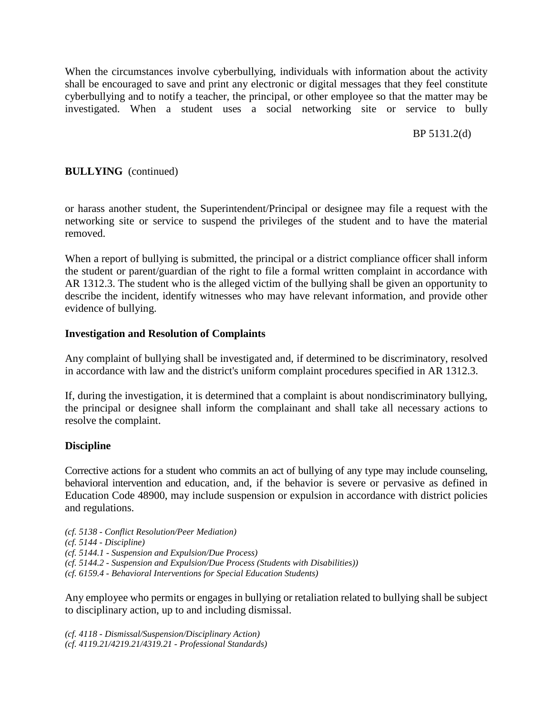When the circumstances involve cyberbullying, individuals with information about the activity shall be encouraged to save and print any electronic or digital messages that they feel constitute cyberbullying and to notify a teacher, the principal, or other employee so that the matter may be investigated. When a student uses a social networking site or service to bully

BP 5131.2(d)

# **BULLYING** (continued)

or harass another student, the Superintendent/Principal or designee may file a request with the networking site or service to suspend the privileges of the student and to have the material removed.

When a report of bullying is submitted, the principal or a district compliance officer shall inform the student or parent/guardian of the right to file a formal written complaint in accordance with AR 1312.3. The student who is the alleged victim of the bullying shall be given an opportunity to describe the incident, identify witnesses who may have relevant information, and provide other evidence of bullying.

#### **Investigation and Resolution of Complaints**

Any complaint of bullying shall be investigated and, if determined to be discriminatory, resolved in accordance with law and the district's uniform complaint procedures specified in AR 1312.3.

If, during the investigation, it is determined that a complaint is about nondiscriminatory bullying, the principal or designee shall inform the complainant and shall take all necessary actions to resolve the complaint.

#### **Discipline**

Corrective actions for a student who commits an act of bullying of any type may include counseling, behavioral intervention and education, and, if the behavior is severe or pervasive as defined in Education Code 48900, may include suspension or expulsion in accordance with district policies and regulations.

*(cf. 5138 - Conflict Resolution/Peer Mediation) (cf. 5144 - Discipline) (cf. 5144.1 - Suspension and Expulsion/Due Process) (cf. 5144.2 - Suspension and Expulsion/Due Process (Students with Disabilities)) (cf. 6159.4 - Behavioral Interventions for Special Education Students)*

Any employee who permits or engages in bullying or retaliation related to bullying shall be subject to disciplinary action, up to and including dismissal.

*(cf. 4118 - Dismissal/Suspension/Disciplinary Action) (cf. 4119.21/4219.21/4319.21 - Professional Standards)*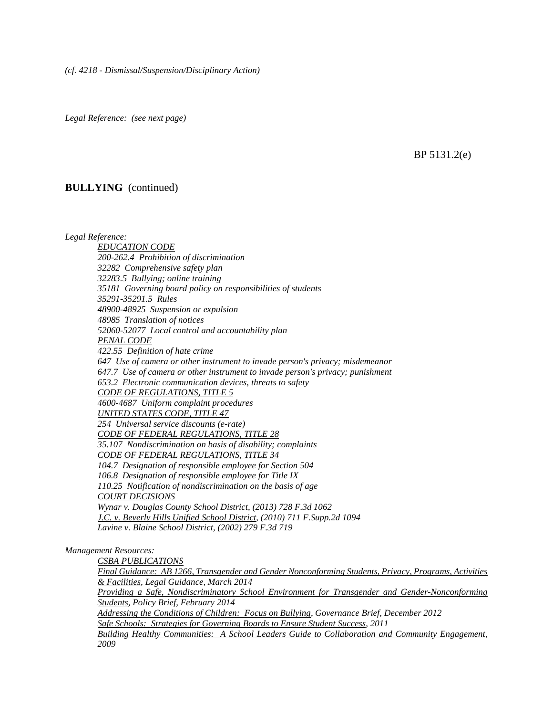*Legal Reference: (see next page)*

BP 5131.2(e)

#### **BULLYING** (continued)

*Legal Reference:*

*EDUCATION CODE 200-262.4 Prohibition of discrimination 32282 Comprehensive safety plan 32283.5 Bullying; online training 35181 Governing board policy on responsibilities of students 35291-35291.5 Rules 48900-48925 Suspension or expulsion 48985 Translation of notices 52060-52077 Local control and accountability plan PENAL CODE 422.55 Definition of hate crime 647 Use of camera or other instrument to invade person's privacy; misdemeanor 647.7 Use of camera or other instrument to invade person's privacy; punishment 653.2 Electronic communication devices, threats to safety CODE OF REGULATIONS, TITLE 5 4600-4687 Uniform complaint procedures UNITED STATES CODE, TITLE 47 254 Universal service discounts (e-rate) CODE OF FEDERAL REGULATIONS, TITLE 28 35.107 Nondiscrimination on basis of disability; complaints CODE OF FEDERAL REGULATIONS, TITLE 34 104.7 Designation of responsible employee for Section 504 106.8 Designation of responsible employee for Title IX 110.25 Notification of nondiscrimination on the basis of age COURT DECISIONS Wynar v. Douglas County School District, (2013) 728 F.3d 1062 J.C. v. Beverly Hills Unified School District, (2010) 711 F.Supp.2d 1094 Lavine v. Blaine School District, (2002) 279 F.3d 719*

*Management Resources:*

*CSBA PUBLICATIONS*

*Final Guidance: AB 1266, Transgender and Gender Nonconforming Students, Privacy, Programs, Activities & Facilities, Legal Guidance, March 2014*

*Providing a Safe, Nondiscriminatory School Environment for Transgender and Gender-Nonconforming Students, Policy Brief, February 2014*

*Addressing the Conditions of Children: Focus on Bullying, Governance Brief, December 2012 Safe Schools: Strategies for Governing Boards to Ensure Student Success, 2011*

*Building Healthy Communities: A School Leaders Guide to Collaboration and Community Engagement, 2009*